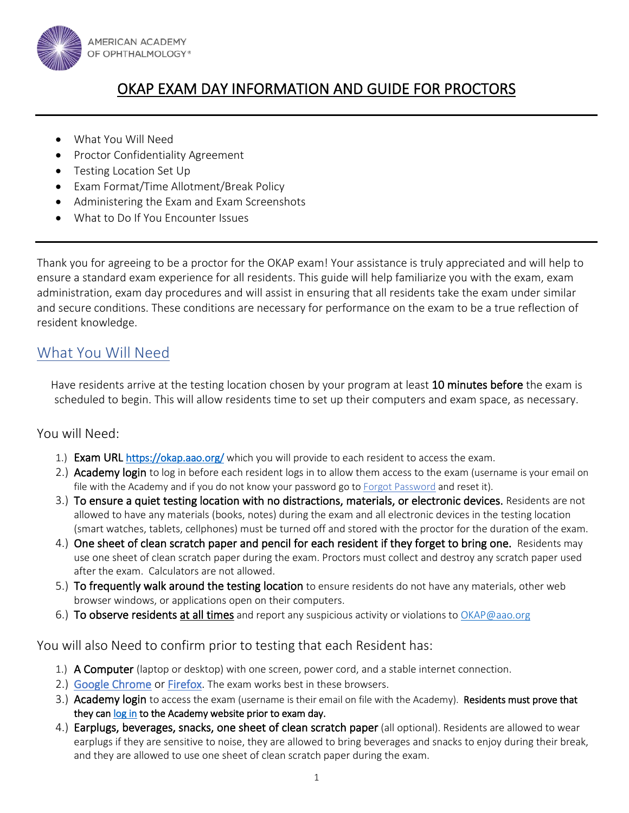

# OKAP EXAM DAY INFORMATION AND GUIDE FOR PROCTORS

- What You Will Need
- Proctor Confidentiality Agreement
- Testing Location Set Up
- Exam Format/Time Allotment/Break Policy
- Administering the Exam and Exam Screenshots
- What to Do If You Encounter Issues

Thank you for agreeing to be a proctor for the OKAP exam! Your assistance is truly appreciated and will help to ensure a standard exam experience for all residents. This guide will help familiarize you with the exam, exam administration, exam day procedures and will assist in ensuring that all residents take the exam under similar and secure conditions. These conditions are necessary for performance on the exam to be a true reflection of resident knowledge.

### What You Will Need

Have residents arrive at the testing location chosen by your program at least 10 minutes before the exam is scheduled to begin. This will allow residents time to set up their computers and exam space, as necessary.

### You will Need:

- 1.) Exam URL<https://okap.aao.org/> which you will provide to each resident to access the exam.
- 2.) Academy login to log in before each resident logs in to allow them access to the exam (username is your email on file with the Academy and if you do not know your password go t[o Forgot Password](https://secure.aao.org/aao/Login/ForgotPassword1) and reset it).
- 3.) To ensure a quiet testing location with no distractions, materials, or electronic devices. Residents are not allowed to have any materials (books, notes) during the exam and all electronic devices in the testing location (smart watches, tablets, cellphones) must be turned off and stored with the proctor for the duration of the exam.
- 4.) One sheet of clean scratch paper and pencil for each resident if they forget to bring one. Residents may use one sheet of clean scratch paper during the exam. Proctors must collect and destroy any scratch paper used after the exam. Calculators are not allowed.
- 5.) To frequently walk around the testing location to ensure residents do not have any materials, other web browser windows, or applications open on their computers.
- 6.) To observe residents at all times and report any suspicious activity or violations t[o OKAP@aao.org](mailto:OKAP@aao.org)

### You will also Need to confirm prior to testing that each Resident has:

- 1.) A Computer (laptop or desktop) with one screen, power cord, and a stable internet connection.
- 2.) [Google Chrome](https://www.google.com/chrome/) or [Firefox.](https://www.mozilla.org/en-US/firefox/new/) The exam works best in these browsers.
- 3.) Academy login to access the exam (username is their email on file with the Academy). Residents must prove that they ca[n log in t](https://secure.aao.org/aao/Login?returnUrl=https%3a%2f%2fwww.aao.org%2f)o the Academy website prior to exam day.
- 4.) Earplugs, beverages, snacks, one sheet of clean scratch paper (all optional). Residents are allowed to wear earplugs if they are sensitive to noise, they are allowed to bring beverages and snacks to enjoy during their break, and they are allowed to use one sheet of clean scratch paper during the exam.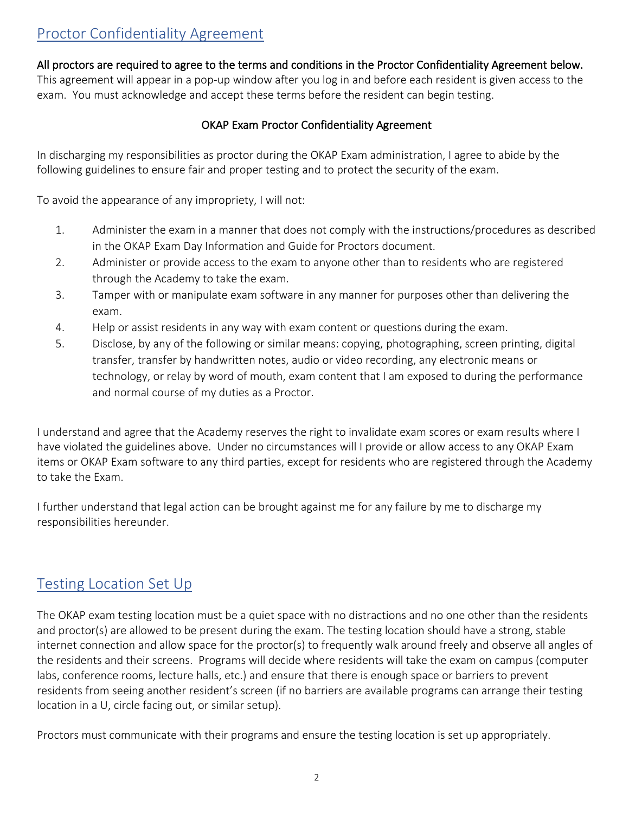# Proctor Confidentiality Agreement

All proctors are required to agree to the terms and conditions in the Proctor Confidentiality Agreement below. This agreement will appear in a pop-up window after you log in and before each resident is given access to the exam. You must acknowledge and accept these terms before the resident can begin testing.

#### OKAP Exam Proctor Confidentiality Agreement

In discharging my responsibilities as proctor during the OKAP Exam administration, I agree to abide by the following guidelines to ensure fair and proper testing and to protect the security of the exam.

To avoid the appearance of any impropriety, I will not:

- 1. Administer the exam in a manner that does not comply with the instructions/procedures as described in the OKAP Exam Day Information and Guide for Proctors document.
- 2. Administer or provide access to the exam to anyone other than to residents who are registered through the Academy to take the exam.
- 3. Tamper with or manipulate exam software in any manner for purposes other than delivering the exam.
- 4. Help or assist residents in any way with exam content or questions during the exam.
- 5. Disclose, by any of the following or similar means: copying, photographing, screen printing, digital transfer, transfer by handwritten notes, audio or video recording, any electronic means or technology, or relay by word of mouth, exam content that I am exposed to during the performance and normal course of my duties as a Proctor.

I understand and agree that the Academy reserves the right to invalidate exam scores or exam results where I have violated the guidelines above. Under no circumstances will I provide or allow access to any OKAP Exam items or OKAP Exam software to any third parties, except for residents who are registered through the Academy to take the Exam.

I further understand that legal action can be brought against me for any failure by me to discharge my responsibilities hereunder.

## Testing Location Set Up

The OKAP exam testing location must be a quiet space with no distractions and no one other than the residents and proctor(s) are allowed to be present during the exam. The testing location should have a strong, stable internet connection and allow space for the proctor(s) to frequently walk around freely and observe all angles of the residents and their screens. Programs will decide where residents will take the exam on campus (computer labs, conference rooms, lecture halls, etc.) and ensure that there is enough space or barriers to prevent residents from seeing another resident's screen (if no barriers are available programs can arrange their testing location in a U, circle facing out, or similar setup).

Proctors must communicate with their programs and ensure the testing location is set up appropriately.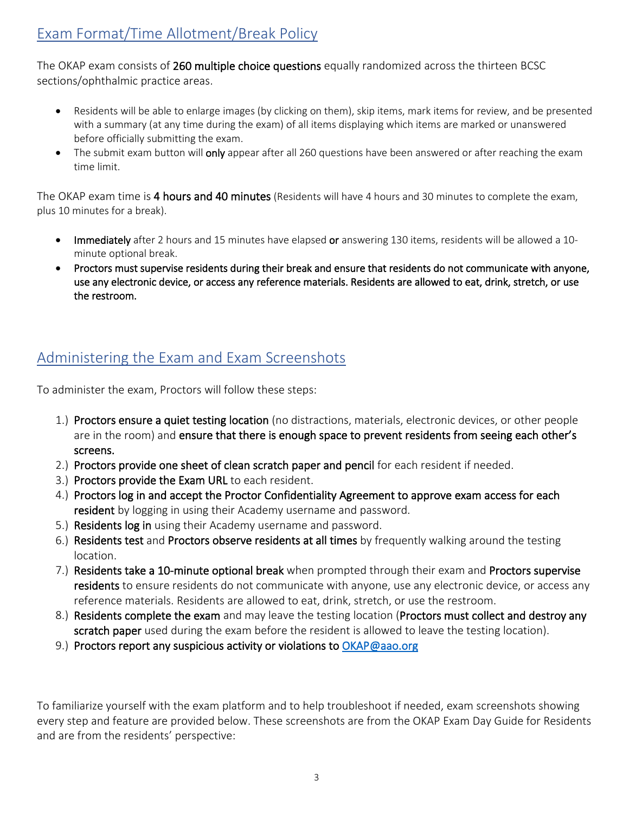The OKAP exam consists of 260 multiple choice questions equally randomized across the thirteen BCSC sections/ophthalmic practice areas.

- Residents will be able to enlarge images (by clicking on them), skip items, mark items for review, and be presented with a summary (at any time during the exam) of all items displaying which items are marked or unanswered before officially submitting the exam.
- The submit exam button will only appear after all 260 questions have been answered or after reaching the exam time limit.

The OKAP exam time is 4 hours and 40 minutes (Residents will have 4 hours and 30 minutes to complete the exam, plus 10 minutes for a break).

- Immediately after 2 hours and 15 minutes have elapsed or answering 130 items, residents will be allowed a 10 minute optional break.
- Proctors must supervise residents during their break and ensure that residents do not communicate with anyone, use any electronic device, or access any reference materials. Residents are allowed to eat, drink, stretch, or use the restroom.

# Administering the Exam and Exam Screenshots

To administer the exam, Proctors will follow these steps:

- 1.) Proctors ensure a quiet testing location (no distractions, materials, electronic devices, or other people are in the room) and ensure that there is enough space to prevent residents from seeing each other's screens.
- 2.) Proctors provide one sheet of clean scratch paper and pencil for each resident if needed.
- 3.) Proctors provide the Exam URL to each resident.
- 4.) Proctors log in and accept the Proctor Confidentiality Agreement to approve exam access for each resident by logging in using their Academy username and password.
- 5.) Residents log in using their Academy username and password.
- 6.) Residents test and Proctors observe residents at all times by frequently walking around the testing location.
- 7.) Residents take a 10-minute optional break when prompted through their exam and Proctors supervise residents to ensure residents do not communicate with anyone, use any electronic device, or access any reference materials. Residents are allowed to eat, drink, stretch, or use the restroom.
- 8.) Residents complete the exam and may leave the testing location (Proctors must collect and destroy any scratch paper used during the exam before the resident is allowed to leave the testing location).
- 9.) Proctors report any suspicious activity or violations to [OKAP@aao.org](mailto:OKAP@aao.org)

To familiarize yourself with the exam platform and to help troubleshoot if needed, exam screenshots showing every step and feature are provided below. These screenshots are from the OKAP Exam Day Guide for Residents and are from the residents' perspective: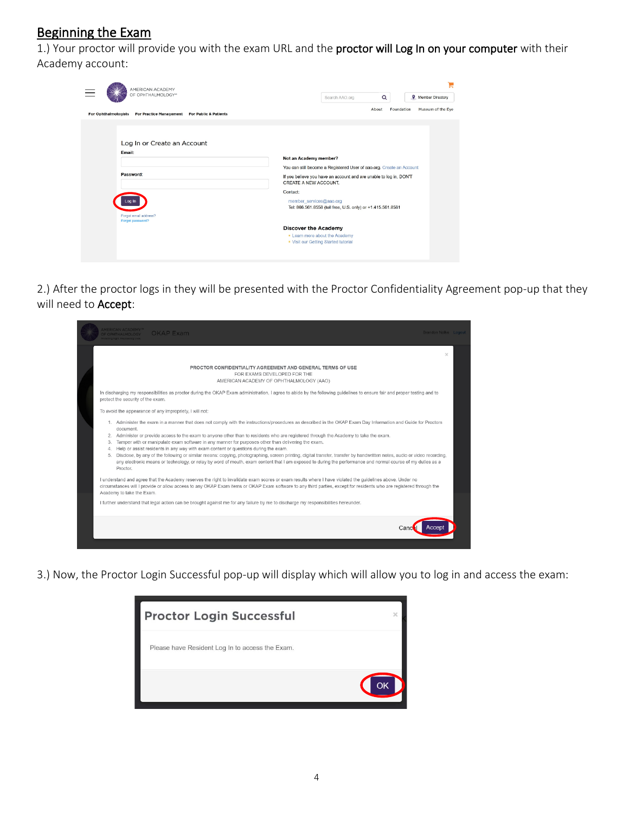## Beginning the Exam

1.) Your proctor will provide you with the exam URL and the proctor will Log In on your computer with their Academy account:

| AMERICAN ACADEMY<br>OF OPHTHALMOLOGY*<br><b>For Ophthalmologists</b><br>For Practice Management For Public & Patients | н<br><b>Wember Directory</b><br>Q<br>Search AAO.org<br>Foundation<br>Museum of the Eye<br>About                                                                                                                                                                                                                                                                                                              |
|-----------------------------------------------------------------------------------------------------------------------|--------------------------------------------------------------------------------------------------------------------------------------------------------------------------------------------------------------------------------------------------------------------------------------------------------------------------------------------------------------------------------------------------------------|
| Log In or Create an Account<br>Email:<br>Password:<br>.oa Ir<br>Forgot email address?<br>Forgot password?             | Not an Academy member?<br>You can still become a Registered User of aao.org. Create an Account<br>If you believe you have an account and are unable to log in, DON'T<br>CREATE A NEW ACCOUNT.<br>Contact:<br>member_services@aao.org<br>Tel: 866.561.8558 (toll free, U.S. only) or +1.415.561.8581<br><b>Discover the Academy</b><br>• Learn more about the Academy<br>. Visit our Getting Started tutorial |

2.) After the proctor logs in they will be presented with the Proctor Confidentiality Agreement pop-up that they will need to Accept:

|                                    | AMERICAN ACADEMY"<br><b>OKAP Exam</b><br><b>JE OPHTHAI MOLOGY</b>                                                                                                                                                                                                                                                                                                                                                                                                                                                                                                                                                                                                                                                                                                                                                                                                    | Brandon Nolke Logout |  |
|------------------------------------|----------------------------------------------------------------------------------------------------------------------------------------------------------------------------------------------------------------------------------------------------------------------------------------------------------------------------------------------------------------------------------------------------------------------------------------------------------------------------------------------------------------------------------------------------------------------------------------------------------------------------------------------------------------------------------------------------------------------------------------------------------------------------------------------------------------------------------------------------------------------|----------------------|--|
|                                    | PROCTOR CONFIDENTIALITY AGREEMENT AND GENERAL TERMS OF USE<br>FOR EXAMS DEVELOPED FOR THE<br>AMERICAN ACADEMY OF OPHTHALMOLOGY (AAO)                                                                                                                                                                                                                                                                                                                                                                                                                                                                                                                                                                                                                                                                                                                                 | $\times$             |  |
|                                    | In discharging my responsibilities as proctor during the OKAP Exam administration, I agree to abide by the following guidelines to ensure fair and proper testing and to<br>protect the security of the exam.<br>To avoid the appearance of any impropriety, I will not:                                                                                                                                                                                                                                                                                                                                                                                                                                                                                                                                                                                             |                      |  |
| $\overline{2}$ .<br>3.<br>4.<br>5. | 1. Administer the exam in a manner that does not comply with the instructions/procedures as described in the OKAP Exam Day Information and Guide for Proctors<br>document.<br>Administer or provide access to the exam to anyone other than to residents who are registered through the Academy to take the exam.<br>Tamper with or manipulate exam software in any manner for purposes other than delivering the exam.<br>Help or assist residents in any way with exam content or questions during the exam.<br>Disclose, by any of the following or similar means: copying, photographing, screen printing, digital transfer, transfer by handwritten notes, audio or video recording,<br>any electronic means or technology, or relay by word of mouth, exam content that I am exposed to during the performance and normal course of my duties as a<br>Proctor. |                      |  |
|                                    | I understand and agree that the Academy reserves the right to invalidate exam scores or exam results where I have violated the guidelines above. Under no<br>circumstances will I provide or allow access to any OKAP Exam items or OKAP Exam software to any third parties, except for residents who are registered through the<br>Academy to take the Exam.                                                                                                                                                                                                                                                                                                                                                                                                                                                                                                        |                      |  |
|                                    | I further understand that legal action can be brought against me for any failure by me to discharge my responsibilities hereunder.                                                                                                                                                                                                                                                                                                                                                                                                                                                                                                                                                                                                                                                                                                                                   |                      |  |
|                                    |                                                                                                                                                                                                                                                                                                                                                                                                                                                                                                                                                                                                                                                                                                                                                                                                                                                                      |                      |  |

3.) Now, the Proctor Login Successful pop-up will display which will allow you to log in and access the exam:

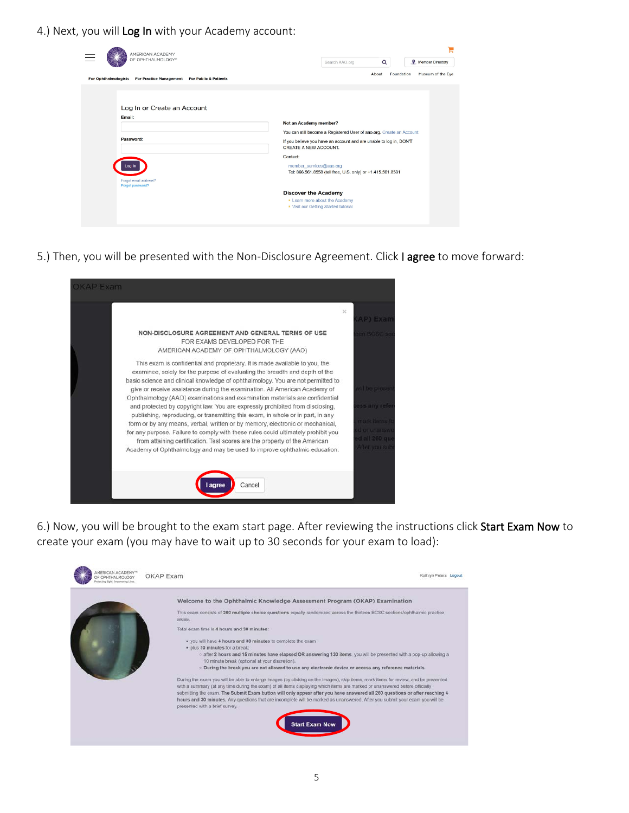4.) Next, you will Log In with your Academy account:

| AMERICAN ACADEMY                                                                                          |                                                                                                                                                                                                                                                                                                     |
|-----------------------------------------------------------------------------------------------------------|-----------------------------------------------------------------------------------------------------------------------------------------------------------------------------------------------------------------------------------------------------------------------------------------------------|
| OF OPHTHALMOLOGY*                                                                                         | $\alpha$<br><b>Q</b> Member Directory<br>Search AAO.org                                                                                                                                                                                                                                             |
| <b>For Ophthalmologists</b><br><b>For Practice Management</b><br><b>For Public &amp; Patients</b>         | Museum of the Eye<br>About<br>Foundation                                                                                                                                                                                                                                                            |
| Log In or Create an Account<br>Email:<br>Password:<br>.oa In<br>Forgot email address?<br>Forgot password? | Not an Academy member?<br>You can still become a Registered User of aao.org. Create an Account<br>If you believe you have an account and are unable to log in, DON'T<br>CREATE A NEW ACCOUNT.<br>Contact:<br>member_services@aao.org<br>Tel: 866.561.8558 (toll free, U.S. only) or +1.415.561.8581 |
|                                                                                                           | <b>Discover the Academy</b><br>• Learn more about the Academy<br>. Visit our Getting Started tutorial                                                                                                                                                                                               |

5.) Then, you will be presented with the Non-Disclosure Agreement. Click I agree to move forward:



6.) Now, you will be brought to the exam start page. After reviewing the instructions click Start Exam Now to create your exam (you may have to wait up to 30 seconds for your exam to load):

| MERICAN ACADEMY?<br>OF OPHTHAI MOLOGY<br>Protecting Sight, Employeesing Lives. | OKAP Exam                                                                                                                                                                                                                                                                                                                                                                                                                                                                                                                                                          | Kathryn Peters Logout |
|--------------------------------------------------------------------------------|--------------------------------------------------------------------------------------------------------------------------------------------------------------------------------------------------------------------------------------------------------------------------------------------------------------------------------------------------------------------------------------------------------------------------------------------------------------------------------------------------------------------------------------------------------------------|-----------------------|
|                                                                                | Welcome to the Ophthalmic Knowledge Assessment Program (OKAP) Examination                                                                                                                                                                                                                                                                                                                                                                                                                                                                                          |                       |
|                                                                                | This exam consists of 260 multiple choice questions equally randomized across the thirteen BCSC sections/ophthalmic practice<br>areas.                                                                                                                                                                                                                                                                                                                                                                                                                             |                       |
|                                                                                | Total exam time is 4 hours and 30 minutes:                                                                                                                                                                                                                                                                                                                                                                                                                                                                                                                         |                       |
|                                                                                | . you will have 4 hours and 30 minutes to complete the exam                                                                                                                                                                                                                                                                                                                                                                                                                                                                                                        |                       |
|                                                                                | · plus 10 minutes for a break:<br>o after 2 hours and 15 minutes have elapsed OR answering 130 items, you will be presented with a pop-up allowing a<br>10 minute break (optional at your discretion).                                                                                                                                                                                                                                                                                                                                                             |                       |
|                                                                                | . During the break you are not allowed to use any electronic device or access any reference materials.                                                                                                                                                                                                                                                                                                                                                                                                                                                             |                       |
|                                                                                | During the exam you will be able to enlarge images (by clicking on the images), skip items, mark items for review, and be presented<br>with a summary (at any time during the exam) of all items displaying which items are marked or unanswered before officially<br>submitting the exam. The Submit Exam button will only appear after you have answered all 260 questions or after reaching 4<br>hours and 30 minutes. Any questions that are incomplete will be marked as unanswered. After you submit your exam you will be<br>presented with a brief survey. |                       |
|                                                                                | <b>Start Exam Now</b>                                                                                                                                                                                                                                                                                                                                                                                                                                                                                                                                              |                       |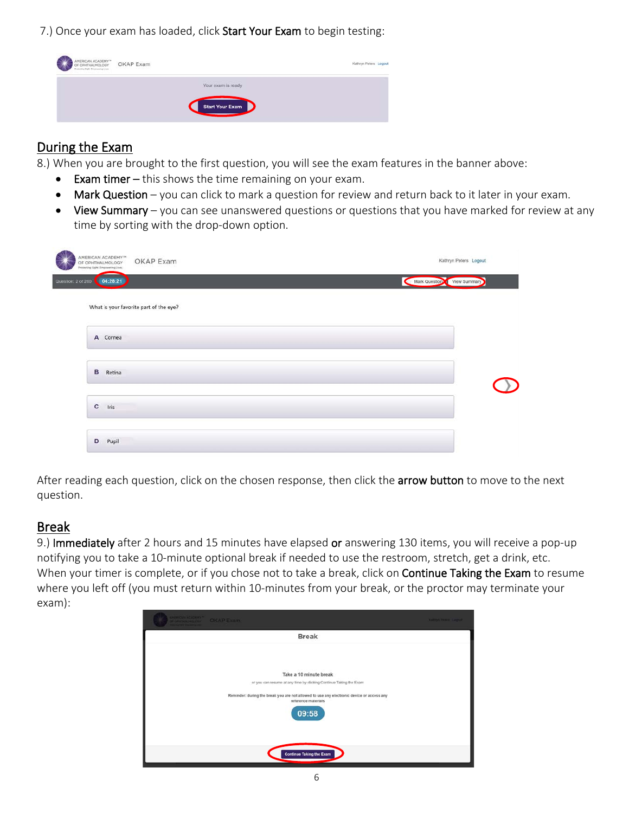7.) Once your exam has loaded, click Start Your Exam to begin testing:



### During the Exam

8.) When you are brought to the first question, you will see the exam features in the banner above:

- Exam timer this shows the time remaining on your exam.
- Mark Question you can click to mark a question for review and return back to it later in your exam.
- View Summary you can see unanswered questions or questions that you have marked for review at any time by sorting with the drop-down option.

| S<br>AMERICAN ACADEMY <sup>™</sup><br>OKAP Exam<br>OF OPHTHALMOLOGY<br>Protecting Sight. Empowering Lives. | Kathryn Peters Logout      |
|------------------------------------------------------------------------------------------------------------|----------------------------|
| Question: 2 of 260<br>04:28:21                                                                             | Mark Question View Summary |
| What is your favorite part of the eye?                                                                     |                            |
| A Cornea                                                                                                   |                            |
| в<br>Retina                                                                                                |                            |
| $\mathbf{c}$<br>Iris                                                                                       |                            |
| D<br>Pupil                                                                                                 |                            |

After reading each question, click on the chosen response, then click the arrow button to move to the next question.

## Break

9.) Immediately after 2 hours and 15 minutes have elapsed or answering 130 items, you will receive a pop-up notifying you to take a 10-minute optional break if needed to use the restroom, stretch, get a drink, etc. When your timer is complete, or if you chose not to take a break, click on Continue Taking the Exam to resume where you left off (you must return within 10-minutes from your break, or the proctor may terminate your exam):

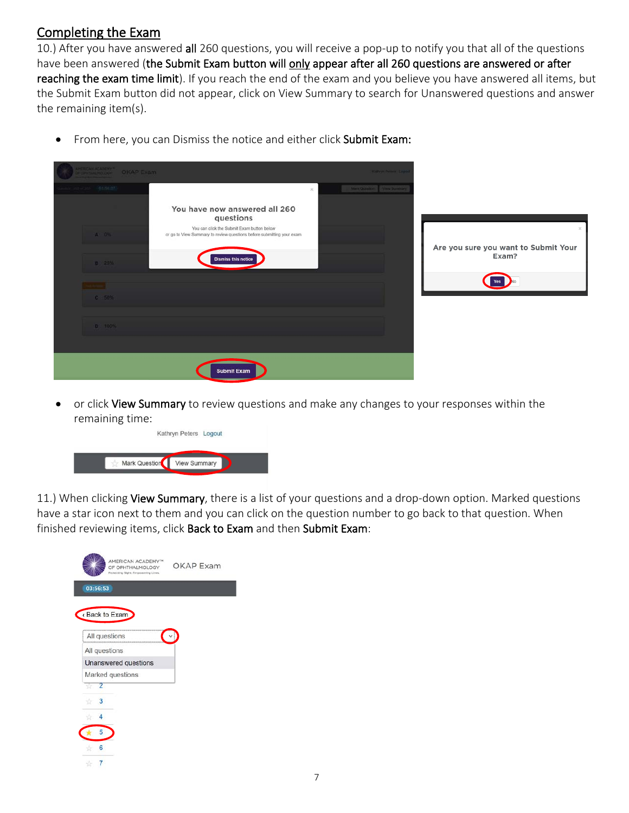### Completing the Exam

10.) After you have answered all 260 questions, you will receive a pop-up to notify you that all of the questions have been answered (the Submit Exam button will only appear after all 260 questions are answered or after reaching the exam time limit). If you reach the end of the exam and you believe you have answered all items, but the Submit Exam button did not appear, click on View Summary to search for Unanswered questions and answer the remaining item(s).

- You have now answered all 260 questions You can click the Submit Exam button below or go to View Summary to review questions before submitting your exam Are you sure you want to Submit Your Exam? Yes No
- From here, you can Dismiss the notice and either click Submit Exam:

Submit Exam

or click View Summary to review questions and make any changes to your responses within the remaining time:

|               | Kathryn Peters Logout |  |
|---------------|-----------------------|--|
| Mark Question | <b>View Summary</b>   |  |

11.) When clicking View Summary, there is a list of your questions and a drop-down option. Marked questions have a star icon next to them and you can click on the question number to go back to that question. When finished reviewing items, click Back to Exam and then Submit Exam:

|                              | AMERICAN ACADEMY <sup>74</sup><br>OF OPHTHALMOLOGY<br>Protecting Sight, Empowering Lives. | <b>OKAP Exam</b> |
|------------------------------|-------------------------------------------------------------------------------------------|------------------|
| 03:56:53                     |                                                                                           |                  |
| Back to Exam                 |                                                                                           |                  |
| All questions                |                                                                                           |                  |
| All questions                |                                                                                           |                  |
|                              | Unanswered questions                                                                      |                  |
|                              | Marked questions                                                                          |                  |
| 2<br>ŵ                       |                                                                                           |                  |
| $\overline{\mathbf{3}}$<br>诈 |                                                                                           |                  |
| 4                            |                                                                                           |                  |
| 5                            |                                                                                           |                  |
| 6                            |                                                                                           |                  |
|                              |                                                                                           |                  |